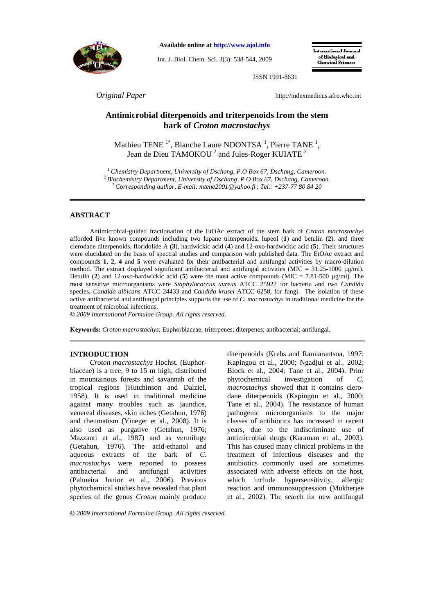

**Available online at http://www.ajol.info**

Int. J. Biol. Chem. Sci. 3(3): 538-544, 2009

International Journal of Biological and **Chamical Sciences** 

ISSN 1991-8631

*Original Paper* http://indexmedicus.afro.who.int

# **Antimicrobial diterpenoids and triterpenoids from the stem bark of** *Croton macrostachys*

Mathieu TENE<sup> $1^*$ </sup>, Blanche Laure NDONTSA<sup> $1$ </sup>, Pierre TANE<sup> $1$ </sup>, Jean de Dieu TAMOKOU  $^2$  and Jules-Roger KUIATE  $^2$ 

*<sup>1</sup>Chemistry Department, University of Dschang, P.O Box 67, Dschang, Cameroon. <sup>2</sup>Biochemistry Department, University of Dschang, P.O Box 67, Dschang, Cameroon. \* Corresponding author, E-mail: mtene2001@yahoo.fr; Tel.: +237-77 80 84 20* 

## **ABSTRACT**

Antimicrobial-guided fractionation of the EtOAc extract of the stem bark of *Croton macrostachys* afforded five known compounds including two lupane triterpenoids, lupeol (**1**) and betulin (**2**), and three clerodane diterpenoids, floridolide A (**3**), hardwickic acid (**4**) and 12-oxo-hardwickic acid (**5**). Their structures were elucidated on the basis of spectral studies and comparison with published data. The EtOAc extract and compounds **1**, **2**, **4** and **5** were evaluated for their antibacterial and antifungal activities by macro-dilution method. The extract displayed significant antibacterial and antifungal activities (MIC =  $31.25{\text -}1000 \text{ µg/ml}}$ ). Betulin (2) and 12-oxo-hardwickic acid (5) were the most active compounds (MIC =  $7.81-500$  µg/ml). The most sensitive microorganisms were *Staphylococcus aureus* ATCC 25922 for bacteria and two *Candida* species, *Candida albicans* ATCC 24433 and *Candida krusei* ATCC 6258, for fungi. The isolation of these active antibacterial and antifungal principles supports the use of *C. macrostachys* in traditional medicine for the treatment of microbial infections.

*© 2009 International Formulae Group. All rights reserved.*

**Keywords:** *Croton macrostachys*; Euphorbiaceae; triterpenes; diterpenes; antibacterial; antifungal.

#### **INTRODUCTION**

*Croton macrostachys* Hochst. (Euphorbiaceae) is a tree, 9 to 15 m high, distributed in mountainous forests and savannah of the tropical regions (Hutchinson and Dalziel, 1958). It is used in traditional medicine against many troubles such as jaundice, venereal diseases, skin itches (Getahun, 1976) and rheumatism (Yineger et al., 2008). It is also used as purgative (Getahun, 1976; Mazzanti et al., 1987) and as vermifuge (Getahun, 1976). The acid-ethanol and aqueous extracts of the bark of *C. macrostachys* were reported to possess antibacterial and antifungal activities (Palmeira Junior et al., 2006). Previous phytochemical studies have revealed that plant species of the genus *Croton* mainly produce

diterpenoids (Krebs and Ramiarantsoa, 1997; Kapingou et al., 2000; Ngadjui et al., 2002; Block et al., 2004; Tane et al., 2004). Prior phytochemical investigation of *C. macrostachys* showed that it contains clerodane diterpenoids (Kapingou et al., 2000; Tane et al., 2004). The resistance of human pathogenic microorganisms to the major classes of antibiotics has increased in recent years, due to the indiscriminate use of antimicrobial drugs (Karaman et al., 2003). This has caused many clinical problems in the treatment of infectious diseases and the antibiotics commonly used are sometimes associated with adverse effects on the host, which include hypersensitivity, allergic reaction and immunosuppression (Mukherjee et al., 2002). The search for new antifungal

*© 2009 International Formulae Group. All rights reserved.*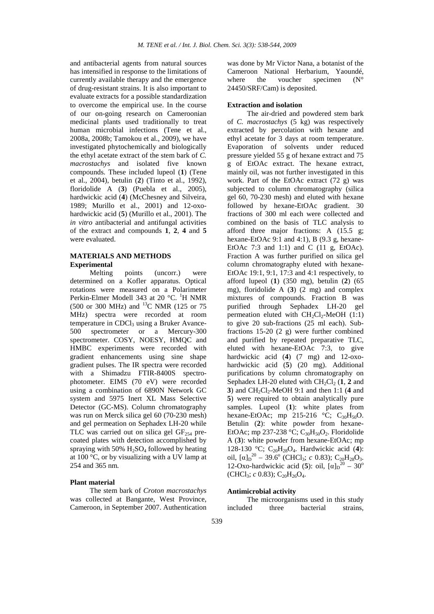and antibacterial agents from natural sources has intensified in response to the limitations of currently available therapy and the emergence of drug-resistant strains. It is also important to evaluate extracts for a possible standardization to overcome the empirical use. In the course of our on-going research on Cameroonian medicinal plants used traditionally to treat human microbial infections (Tene et al., 2008a, 2008b; Tamokou et al., 2009), we have investigated phytochemically and biologically the ethyl acetate extract of the stem bark of *C. macrostachys* and isolated five known compounds. These included lupeol (**1**) (Tene et al., 2004), betulin (**2**) (Tinto et al., 1992), floridolide A (**3**) (Puebla et al., 2005), hardwickic acid (**4**) (McChesney and Silveira, 1989; Murillo et al., 2001) and 12-oxohardwickic acid (**5**) (Murillo et al., 2001). The *in vitro* antibacterial and antifungal activities of the extract and compounds **1**, **2**, **4** and **5** were evaluated.

## **MATERIALS AND METHODS Experimental**

Melting points (uncorr.) were determined on a Kofler apparatus. Optical rotations were measured on a Polarimeter Perkin-Elmer Modell 343 at 20 °C. <sup>1</sup>H NMR (500 or 300 MHz) and <sup>13</sup>C NMR (125 or 75 MHz) spectra were recorded at room temperature in CDCl<sub>3</sub> using a Bruker Avance-500 spectrometer or a Mercury-300 spectrometer. COSY, NOESY, HMQC and HMBC experiments were recorded with gradient enhancements using sine shape gradient pulses. The IR spectra were recorded with a Shimadzu FTIR-8400S spectrophotometer. EIMS (70 eV) were recorded using a combination of 6890N Network GC system and 5975 Inert XL Mass Selective Detector (GC-MS). Column chromatography was run on Merck silica gel 60 (70-230 mesh) and gel permeation on Sephadex LH-20 while TLC was carried out on silica gel  $GF<sub>254</sub>$  precoated plates with detection accomplished by spraying with 50%  $H_2SO_4$  followed by heating at 100 °C, or by visualizing with a UV lamp at 254 and 365 nm.

#### **Plant material**

The stem bark of *Croton macrostachys* was collected at Bangante, West Province, Cameroon, in September 2007. Authentication was done by Mr Victor Nana, a botanist of the Cameroon National Herbarium, Yaoundé, where the voucher specimen  $(N^{\circ})$ 24450/SRF/Cam) is deposited.

#### **Extraction and isolation**

The air-dried and powdered stem bark of *C. macrostachys* (5 kg) was respectively extracted by percolation with hexane and ethyl acetate for 3 days at room temperature. Evaporation of solvents under reduced pressure yielded 55 g of hexane extract and 75 g of EtOAc extract. The hexane extract, mainly oil, was not further investigated in this work. Part of the EtOAc extract (72 g) was subjected to column chromatography (silica gel 60, 70-230 mesh) and eluted with hexane followed by hexane-EtOAc gradient. 30 fractions of 300 ml each were collected and combined on the basis of TLC analysis to afford three major fractions: A (15.5 g; hexane-EtOAc 9:1 and 4:1), B  $(9.3 \text{ g}, \text{hexane}$ -EtOAc  $7:3$  and  $1:1$ ) and C  $(11 \text{ g}, \text{EtOAc})$ . Fraction A was further purified on silica gel column chromatography eluted with hexane-EtOAc 19:1, 9:1, 17:3 and 4:1 respectively, to afford lupeol (**1**) (350 mg), betulin (**2**) (65 mg), floridolide A (**3**) (2 mg) and complex mixtures of compounds. Fraction B was purified through Sephadex LH-20 gel permeation eluted with  $CH<sub>2</sub>Cl<sub>2</sub>$ -MeOH (1:1) to give 20 sub-fractions (25 ml each). Subfractions 15-20 (2 g) were further combined and purified by repeated preparative TLC, eluted with hexane-EtOAc 7:3, to give hardwickic acid (**4**) (7 mg) and 12-oxohardwickic acid (**5**) (20 mg). Additional purifications by column chromatography on Sephadex LH-20 eluted with  $CH_2Cl_2$  (1, 2 and **3**) and  $CH_2Cl_2$ -MeOH 9:1 and then 1:1 (4 and **5**) were required to obtain analytically pure samples. Lupeol (**1**): white plates from hexane-EtOAc; mp 215-216  $\degree$ C; C<sub>30</sub>H<sub>50</sub>O. Betulin (**2**): white powder from hexane-EtOAc; mp 237-238 °C;  $C_{30}H_{50}O_2$ . Floridolide A (**3**): white powder from hexane-EtOAc; mp 128-130 °C; C20H28O4. Hardwickic acid (**4**): oil,  $[\alpha]_D^{20}$  – 39.6° (CHCl<sub>3</sub>; *c* 0.83); C<sub>20</sub>H<sub>28</sub>O<sub>3</sub>. 12-Oxo-hardwickic acid (5): oil,  $[\alpha]_D^{20} - 30^\circ$  $(CHCl<sub>3</sub>; c 0.83); C<sub>20</sub>H<sub>26</sub>O<sub>4</sub>.$ 

## **Antimicrobial activity**

The microorganisms used in this study included three bacterial strains,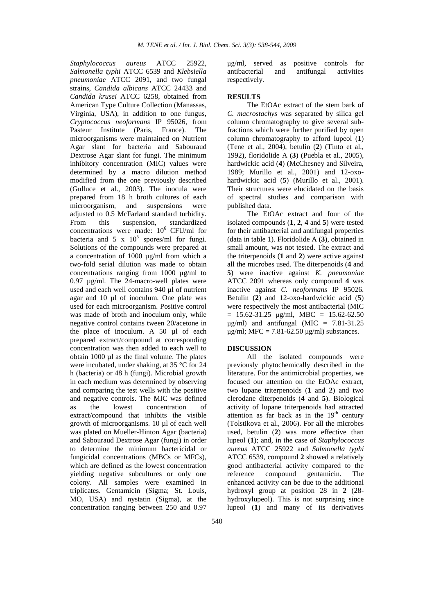*Staphylococcus aureus* ATCC 25922, *Salmonella typhi* ATCC 6539 and *Klebsiella pneumoniae* ATCC 2091, and two fungal strains, *Candida albicans* ATCC 24433 and *Candida krusei* ATCC 6258, obtained from American Type Culture Collection (Manassas, Virginia, USA), in addition to one fungus, *Cryptococcus neoformans* IP 95026, from Pasteur Institute (Paris, France). The microorganisms were maintained on Nutrient Agar slant for bacteria and Sabouraud Dextrose Agar slant for fungi. The minimum inhibitory concentration (MIC) values were determined by a macro dilution method modified from the one previously described (Gulluce et al., 2003). The inocula were prepared from 18 h broth cultures of each microorganism, and suspensions were adjusted to 0.5 McFarland standard turbidity. From this suspension, standardized concentrations were made: 10<sup>6</sup> CFU/ml for bacteria and 5 x  $10^5$  spores/ml for fungi. Solutions of the compounds were prepared at a concentration of 1000 µg/ml from which a two-fold serial dilution was made to obtain concentrations ranging from 1000 µg/ml to 0.97 µg/ml. The 24-macro-well plates were used and each well contains 940 µl of nutrient agar and 10 µl of inoculum. One plate was used for each microorganism. Positive control was made of broth and inoculum only, while negative control contains tween 20/acetone in the place of inoculum. A 50 µl of each prepared extract/compound at corresponding concentration was then added to each well to obtain 1000 µl as the final volume. The plates were incubated, under shaking, at 35 °C for 24 h (bacteria) or 48 h (fungi). Microbial growth in each medium was determined by observing and comparing the test wells with the positive and negative controls. The MIC was defined as the lowest concentration of extract/compound that inhibits the visible growth of microorganisms. 10 µl of each well was plated on Mueller-Hinton Agar (bacteria) and Sabouraud Dextrose Agar (fungi) in order to determine the minimum bactericidal or fungicidal concentrations (MBCs or MFCs), which are defined as the lowest concentration yielding negative subcultures or only one colony. All samples were examined in triplicates. Gentamicin (Sigma; St. Louis, MO, USA) and nystatin (Sigma), at the concentration ranging between 250 and 0.97

µg/ml, served as positive controls for antibacterial and antifungal activities respectively.

## **RESULTS**

The EtOAc extract of the stem bark of *C. macrostachys* was separated by silica gel column chromatography to give several subfractions which were further purified by open column chromatography to afford lupeol (**1**) (Tene et al., 2004), betulin (**2**) (Tinto et al., 1992), floridolide A (**3**) (Puebla et al., 2005), hardwickic acid (**4**) (McChesney and Silveira, 1989; Murillo et al., 2001) and 12-oxohardwickic acid (5) (Murillo et al., 2001). Their structures were elucidated on the basis of spectral studies and comparison with published data.

The EtOAc extract and four of the isolated compounds (**1**, **2**, **4** and **5**) were tested for their antibacterial and antifungal properties (data in table 1). Floridolide A (**3**), obtained in small amount, was not tested. The extract and the triterpenoids (**1** and **2**) were active against all the microbes used. The diterpenoids (**4** and **5**) were inactive against *K. pneumoniae* ATCC 2091 whereas only compound **4** was inactive against *C. neoformans* IP 95026. Betulin (**2**) and 12-oxo-hardwickic acid (**5**) were respectively the most antibacterial (MIC  $= 15.62 - 31.25$  µg/ml, MBC = 15.62-62.50  $\mu$ g/ml) and antifungal (MIC = 7.81-31.25  $\mu$ g/ml; MFC = 7.81-62.50  $\mu$ g/ml) substances.

## **DISCUSSION**

All the isolated compounds were previously phytochemically described in the literature. For the antimicrobial properties, we focused our attention on the EtOAc extract, two lupane triterpenoids (**1** and **2**) and two clerodane diterpenoids (**4** and **5**). Biological activity of lupane triterpenoids had attracted attention as far back as in the  $19<sup>th</sup>$  century (Tolstikova et al., 2006). For all the microbes used, betulin (**2**) was more effective than lupeol (**1**); and, in the case of *Staphylococcus aureus* ATCC 25922 and *Salmonella typhi* ATCC 6539, compound **2** showed a relatively good antibacterial activity compared to the reference compound gentamicin. The enhanced activity can be due to the additional hydroxyl group at position 28 in **2** (28 hydroxylupeol). This is not surprising since lupeol (**1**) and many of its derivatives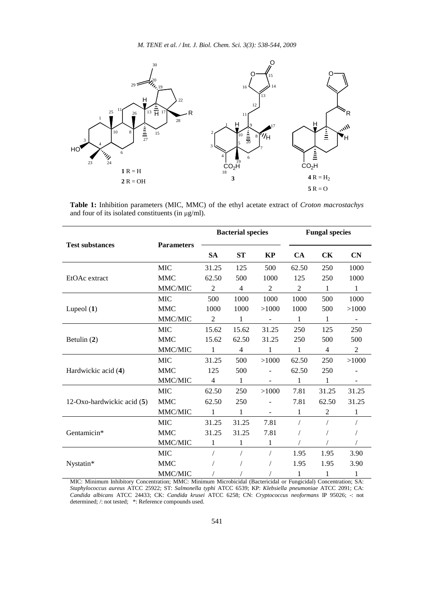*M. TENE et al. / Int. J. Biol. Chem. Sci. 3(3): 538-544, 2009* 



**Table 1:** Inhibition parameters (MIC, MMC) of the ethyl acetate extract of *Croton macrostachys* and four of its isolated constituents (in  $\mu$ g/ml).

|                            |                   | <b>Bacterial species</b> |                |                          | <b>Fungal species</b> |                |                          |
|----------------------------|-------------------|--------------------------|----------------|--------------------------|-----------------------|----------------|--------------------------|
| <b>Test substances</b>     | <b>Parameters</b> | <b>SA</b>                | <b>ST</b>      | KP                       | CA                    | <b>CK</b>      | CN                       |
| EtOAc extract              | <b>MIC</b>        | 31.25                    | 125            | 500                      | 62.50                 | 250            | 1000                     |
|                            | <b>MMC</b>        | 62.50                    | 500            | 1000                     | 125                   | 250            | 1000                     |
|                            | MMC/MIC           | $\overline{2}$           | $\overline{4}$ | $\overline{2}$           | $\overline{c}$        | $\mathbf{1}$   | 1                        |
| Lupeol $(1)$               | <b>MIC</b>        | 500                      | 1000           | 1000                     | 1000                  | 500            | 1000                     |
|                            | <b>MMC</b>        | 1000                     | 1000           | >1000                    | 1000                  | 500            | >1000                    |
|                            | MMC/MIC           | $\overline{2}$           | 1              | $\overline{\phantom{a}}$ | 1                     | 1              | $\overline{\phantom{a}}$ |
| Betulin (2)                | <b>MIC</b>        | 15.62                    | 15.62          | 31.25                    | 250                   | 125            | 250                      |
|                            | <b>MMC</b>        | 15.62                    | 62.50          | 31.25                    | 250                   | 500            | 500                      |
|                            | MMC/MIC           | $\mathbf{1}$             | 4              | 1                        | 1                     | $\overline{4}$ | 2                        |
| Hardwickic acid (4)        | <b>MIC</b>        | 31.25                    | 500            | >1000                    | 62.50                 | 250            | >1000                    |
|                            | <b>MMC</b>        | 125                      | 500            |                          | 62.50                 | 250            |                          |
|                            | MMC/MIC           | $\overline{4}$           | 1              |                          | 1                     | 1              |                          |
| 12-Oxo-hardwickic acid (5) | <b>MIC</b>        | 62.50                    | 250            | >1000                    | 7.81                  | 31.25          | 31.25                    |
|                            | <b>MMC</b>        | 62.50                    | 250            |                          | 7.81                  | 62.50          | 31.25                    |
|                            | MMC/MIC           | 1                        | 1              |                          | 1                     | $\overline{c}$ | 1                        |
| Gentamicin*                | <b>MIC</b>        | 31.25                    | 31.25          | 7.81                     | $\sqrt{2}$            |                |                          |
|                            | <b>MMC</b>        | 31.25                    | 31.25          | 7.81                     |                       |                |                          |
|                            | MMC/MIC           | 1                        | 1              | 1                        |                       |                |                          |
| Nystatin*                  | MIC               | $\sqrt{2}$               |                | T                        | 1.95                  | 1.95           | 3.90                     |
|                            | <b>MMC</b>        |                          |                |                          | 1.95                  | 1.95           | 3.90                     |
|                            | MMC/MIC           |                          |                |                          | 1                     | 1              | 1                        |

MIC: Minimum Inhibitory Concentration; MMC: Minimum Microbicidal (Bactericidal or Fungicidal) Concentration; SA: *Staphylococcus aureus* ATCC 25922; ST: *Salmonella typhi* ATCC 6539; KP: *Klebsiella pneumoniae* ATCC 2091; CA: *Candida albicans* ATCC 24433; CK: *Candida krusei* ATCC 6258; CN: *Cryptococcus neoformans* IP 95026; -: not determined; /: not tested; \*: Reference compounds used.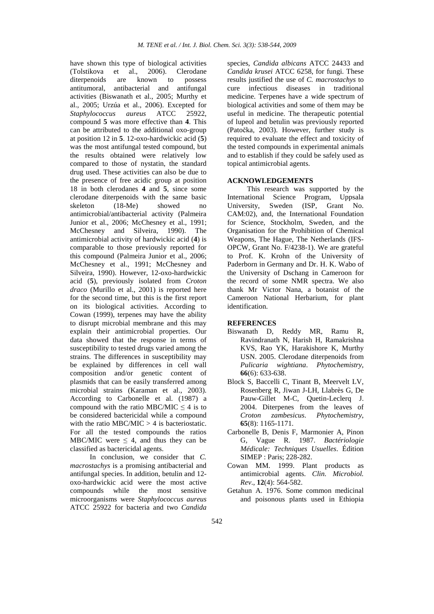have shown this type of biological activities (Tolstikova et al., 2006). Clerodane diterpenoids are known to possess antitumoral, antibacterial and antifungal activities (Biswanath et al., 2005; Murthy et al., 2005; Urzúa et al., 2006). Excepted for *Staphylococcus aureus* ATCC 25922, compound **5** was more effective than **4**. This can be attributed to the additional oxo-group at position 12 in **5**. 12-oxo-hardwickic acid (**5**) was the most antifungal tested compound, but the results obtained were relatively low compared to those of nystatin, the standard drug used. These activities can also be due to the presence of free acidic group at position 18 in both clerodanes **4** and **5**, since some clerodane diterpenoids with the same basic<br>skeleton (18-Me) showed no  $(18-Me)$  showed no antimicrobial/antibacterial activity (Palmeira Junior et al., 2006; McChesney et al., 1991; McChesney and Silveira, 1990). The antimicrobial activity of hardwickic acid (**4**) is comparable to those previously reported for this compound (Palmeira Junior et al., 2006; McChesney et al., 1991; McChesney and Silveira, 1990). However, 12-oxo-hardwickic acid (**5**), previously isolated from *Croton draco* (Murillo et al., 2001) is reported here for the second time, but this is the first report on its biological activities. According to Cowan (1999), terpenes may have the ability to disrupt microbial membrane and this may explain their antimicrobial properties. Our data showed that the response in terms of susceptibility to tested drugs varied among the strains. The differences in susceptibility may be explained by differences in cell wall composition and/or genetic content of plasmids that can be easily transferred among microbial strains (Karaman et al., 2003). According to Carbonelle et al. (1987) a compound with the ratio MBC/MIC  $\leq$  4 is to be considered bactericidal while a compound with the ratio MBC/MIC > 4 is bacteriostatic. For all the tested compounds the ratios MBC/MIC were  $\leq 4$ , and thus they can be classified as bactericidal agents.

In conclusion, we consider that *C. macrostachys* is a promising antibacterial and antifungal species. In addition, betulin and 12 oxo-hardwickic acid were the most active compounds while the most sensitive microorganisms were *Staphylococcus aureus* ATCC 25922 for bacteria and two *Candida*

species, *Candida albicans* ATCC 24433 and *Candida krusei* ATCC 6258, for fungi. These results justified the use of *C. macrostachys* to cure infectious diseases in traditional medicine. Terpenes have a wide spectrum of biological activities and some of them may be useful in medicine. The therapeutic potential of lupeol and betulin was previously reported (Patočka, 2003). However, further study is required to evaluate the effect and toxicity of the tested compounds in experimental animals and to establish if they could be safely used as topical antimicrobial agents.

### **ACKNOWLEDGEMENTS**

This research was supported by the International Science Program, Uppsala University, Sweden (ISP, Grant No. CAM:02), and, the International Foundation for Science, Stockholm, Sweden, and the Organisation for the Prohibition of Chemical Weapons, The Hague, The Netherlands (IFS-OPCW, Grant No. F/4238-1). We are grateful to Prof. K. Krohn of the University of Paderborn in Germany and Dr. H. K. Wabo of the University of Dschang in Cameroon for the record of some NMR spectra. We also thank Mr Victor Nana, a botanist of the Cameroon National Herbarium, for plant identification.

## **REFERENCES**

- Biswanath D, Reddy MR, Ramu R, Ravindranath N, Harish H, Ramakrishna KVS, Rao YK, Harakishore K, Murthy USN. 2005. Clerodane diterpenoids from *Pulicaria wightiana*. *Phytochemistry*, **66**(6): 633-638.
- Block S, Baccelli C, Tinant B, Meervelt LV, Rosenberg R, Jiwan J-LH, Llabrès G, De Pauw-Gillet M-C, Quetin-Leclerq J. 2004. Diterpenes from the leaves of *Croton zambesicus*. *Phytochemistry*, **65**(8): 1165-1171.
- Carbonelle B, Denis F, Marmonier A, Pinon G, Vague R. 1987. *Bactériologie Médicale: Techniques Usuelles*. Édition SIMEP : Paris; 228-282.
- Cowan MM. 1999. Plant products as antimicrobial agents. *Clin. Microbiol. Rev*., **12**(4): 564-582.
- Getahun A. 1976. Some common medicinal and poisonous plants used in Ethiopia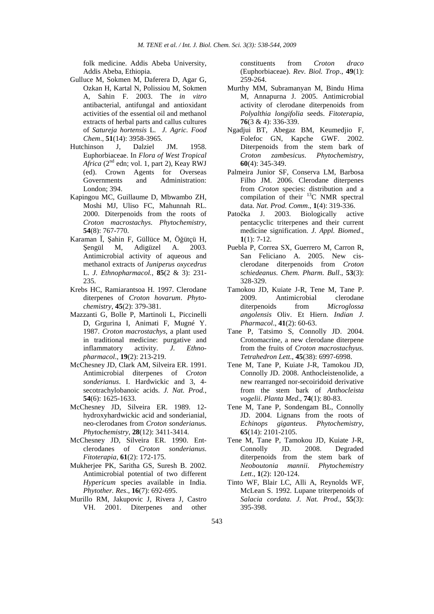folk medicine. Addis Abeba University, Addis Abeba, Ethiopia.

- Gulluce M, Sokmen M, Daferera D, Agar G, Ozkan H, Kartal N, Polissiou M, Sokmen A, Sahin F. 2003. The *in vitro* antibacterial, antifungal and antioxidant activities of the essential oil and methanol extracts of herbal parts and callus cultures of *Satureja hortensis* L. *J. Agric. Food Chem*., **51**(14): 3958-3965.
- Hutchinson J, Dalziel JM. 1958. Euphorbiaceae. In *Flora of West Tropical*  Africa (2<sup>nd</sup> edn; vol. 1, part 2), Keay RWJ (ed). Crown Agents for Overseas and Administration: London; 394.
- Kapingou MC, Guillaume D, Mbwambo ZH, Moshi MJ, Uliso FC, Mahunnah RL. 2000. Diterpenoids from the roots of *Croton macrostachys*. *Phytochemistry*, **54**(8): 767-770.
- Karaman Ī, Şahin F, Güllüce M, Öğütçü H, Şengül M, Adigüzel A. 2003. Antimicrobial activity of aqueous and methanol extracts of *Juniperus oxycedrus* L. *J. Ethnopharmacol.*, **85**(2 & 3): 231- 235.
- Krebs HC, Ramiarantsoa H. 1997. Clerodane diterpenes of *Croton hovarum*. *Phytochemistry*, **45**(2): 379-381.
- Mazzanti G, Bolle P, Martinoli L, Piccinelli D, Grgurina I, Animati F, Mugné Y. 1987. *Croton macrostachys*, a plant used in traditional medicine: purgative and inflammatory activity. *J. Ethnopharmacol*., **19**(2): 213-219.
- McChesney JD, Clark AM, Silveira ER. 1991. Antimicrobial diterpenes of *Croton sonderianus*. I. Hardwickic and 3, 4 secotrachylobanoic acids. *J. Nat. Prod.*, **54**(6): 1625-1633.
- McChesney JD, Silveira ER. 1989. 12 hydroxyhardwickic acid and sonderianial, neo-clerodanes from *Croton sonderianu*s. *Phytochemistry*, **28**(12): 3411-3414.
- McChesney JD, Silveira ER. 1990. Entclerodanes of *Croton sonderianus*. *Fitoterapia*, **61**(2): 172-175.
- Mukherjee PK, Saritha GS, Suresh B. 2002. Antimicrobial potential of two different *Hypericum* species available in India. *Phytother. Res*., **16**(7): 692-695.
- Murillo RM, Jakupovic J, Rivera J, Castro VH. 2001. Diterpenes and other

constituents from *Croton draco* (Euphorbiaceae). *Rev. Biol. Trop*., **49**(1): 259-264.

- Murthy MM, Subramanyan M, Bindu Hima M, Annapurna J. 2005. Antimicrobial activity of clerodane diterpenoids from *Polyalthia longifolia* seeds. *Fitoterapia*, **76**(3 & 4): 336-339.
- Ngadjui BT, Abegaz BM, Keumedjio F, Folefoc GN, Kapche GWF. 2002. Diterpenoids from the stem bark of *Croton zambesicus*. *Phytochemistry*, **60**(4): 345-349.
- Palmeira Junior SF, Conserva LM, Barbosa Filho JM. 2006. Clerodane diterpenes from *Croton* species: distribution and a compilation of their <sup>13</sup>C NMR spectral data. *Nat. Prod. Comm*., **1**(4): 319-336.
- Patočka J. 2003. Biologically active pentacyclic triterpenes and their current medicine signification. *J. Appl. Biomed*.,  $1(1): 7-12.$
- Puebla P, Correa SX, Guerrero M, Carron R, San Feliciano A. 2005. New cisclerodane diterpenoids from *Croton schiedeanus*. *Chem. Pharm. Bull*., **53**(3): 328-329.
- Tamokou JD, Kuiate J-R, Tene M, Tane P. 2009. Antimicrobial clerodane diterpenoids from *Microglossa angolensis* Oliv. Et Hiern. *Indian J. Pharmacol*., **41**(2): 60-63.
- Tane P, Tatsimo S, Connolly JD. 2004. Crotomacrine, a new clerodane diterpene from the fruits of *Croton macrostachyus*. *Tetrahedron Lett*., **45**(38): 6997-6998.
- Tene M, Tane P, Kuiate J-R, Tamokou JD, Connolly JD. 2008. Anthocleistenolide, a new rearranged nor-secoiridoid derivative from the stem bark of *Anthocleista vogelii*. *Planta Med*., **74**(1): 80-83.
- Tene M, Tane P, Sondengam BL, Connolly JD. 2004. Lignans from the roots of *Echinops giganteus*. *Phytochemistry*, **65**(14): 2101-2105.
- Tene M, Tane P, Tamokou JD, Kuiate J-R, Connolly JD. 2008. Degraded diterpenoids from the stem bark of *Neoboutonia mannii*. *Phytochemistry Lett*., **1**(2): 120-124.
- Tinto WF, Blair LC, Alli A, Reynolds WF, McLean S. 1992. Lupane triterpenoids of *Salacia cordata. J. Nat. Prod.*, **55**(3): 395-398.